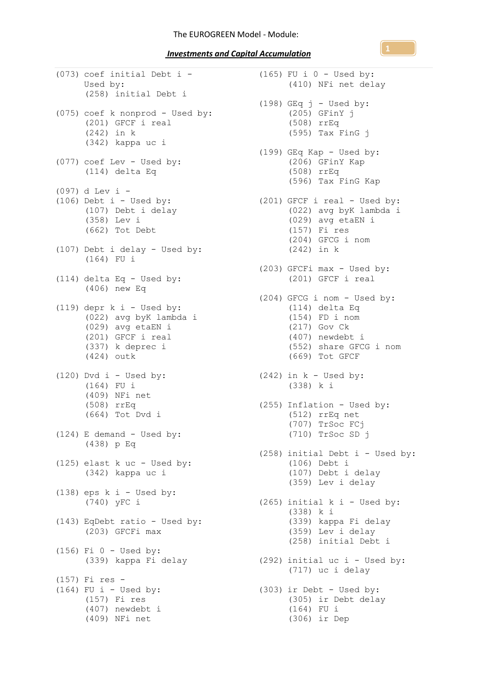*Investments and Capital Accumulation* 

(073) coef initial Debt i - (165) FU i 0 - Used by: Used by: (258) initial Debt i (075) coef k nonprod - Used by: (201) GFCF i real  $(242)$  in k (342) kappa uc i (077) coef Lev - Used by: (114) delta Eq (097) d Lev i -  $(106)$  Debt i - Used by: (107) Debt i delay (358) Lev i (662) Tot Debt (107) Debt i delay - Used by: (164) FU i (114) delta Eq - Used by: (406) new Eq  $(119)$  depr k i - Used by: (022) avg byK lambda i (029) avg etaEN i (201) GFCF i real (337) k deprec i (424) outk  $(120)$  Dvd i - Used by: (164) FU i (409) NFi net (508) rrEq (664) Tot Dvd i (124) E demand - Used by: (438) p Eq (125) elast k uc - Used by: (342) kappa uc i  $(138)$  eps k i - Used by: (740) yFC i (143) EqDebt ratio - Used by: (203) GFCFi max (156) Fi 0 - Used by: (339) kappa Fi delay (157) Fi res -  $(164)$  FU i - Used by: (157) Fi res (407) newdebt i (409) NFi net

(410) NFi net delay  $(198)$  GEq  $j$  - Used by: (205) GFinY j (508) rrEq (595) Tax FinG j (199) GEq Kap - Used by: (206) GFinY Kap (508) rrEq (596) Tax FinG Kap (201) GFCF i real - Used by: (022) avg byK lambda i (029) avg etaEN i (157) Fi res (204) GFCG i nom (242) in k (203) GFCFi max - Used by: (201) GFCF i real (204) GFCG i nom - Used by: (114) delta Eq (154) FD i nom (217) Gov Ck (407) newdebt i (552) share GFCG i nom (669) Tot GFCF  $(242)$  in  $k$  - Used by: (338) k i (255) Inflation - Used by: (512) rrEq net (707) TrSoc FCj (710) TrSoc SD j (258) initial Debt i - Used by: (106) Debt i (107) Debt i delay (359) Lev i delay (265) initial k i - Used by: (338) k i (339) kappa Fi delay (359) Lev i delay (258) initial Debt i (292) initial uc i - Used by: (717) uc i delay (303) ir Debt - Used by: (305) ir Debt delay (164) FU i (306) ir Dep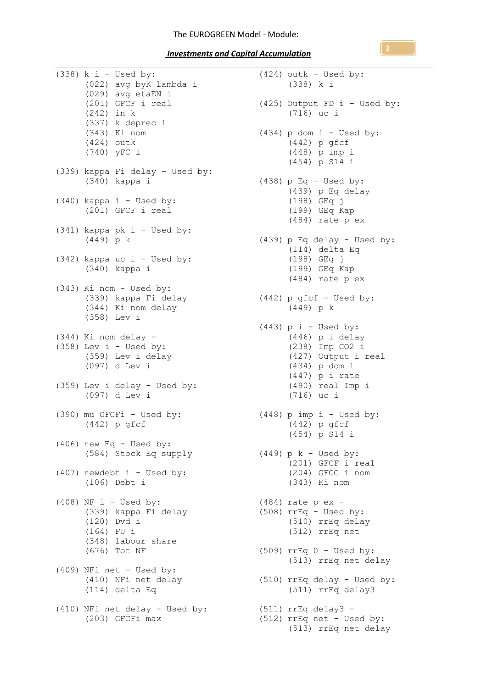*Investments and Capital Accumulation* 

 $(338)$  k i - Used by: (022) avg byK lambda i (029) avg etaEN i (201) GFCF i real (242) in k (337) k deprec i (343) Ki nom (424) outk (740) yFC i (339) kappa Fi delay - Used by: (340) kappa i (340) kappa i - Used by: (201) GFCF i real (341) kappa pk i - Used by: (449) p k (342) kappa uc i - Used by: (340) kappa i (343) Ki nom - Used by: (339) kappa Fi delay (344) Ki nom delay (358) Lev i (344) Ki nom delay -  $(358)$  Lev i - Used by: (359) Lev i delay (097) d Lev i (359) Lev i delay - Used by: (097) d Lev i (390) mu GFCFi - Used by: (442) p gfcf  $(406)$  new Eq - Used by: (584) Stock Eq supply (407) newdebt i - Used by: (106) Debt i (408) NF i - Used by:  $(339)$  kappa Fi delay<br> $(120)$  Dyd i (120) Dvd i (164) FU i (348) labour share (676) Tot NF (409) NFi net - Used by: (410) NFi net delay (114) delta Eq (410) NFi net delay - Used by: (203) GFCFi max

 $(424)$  outk - Used by: (338) k i (425) Output FD i - Used by: (716) uc i  $(434)$  p dom i - Used by: (442) p gfcf (448) p imp i (454) p S14 i  $(438)$  p Eq - Used by: (439) p Eq delay (198) GEq j (199) GEq Kap (484) rate p ex (439) p Eq delay - Used by: (114) delta Eq (198) GEq j (199) GEq Kap (484) rate p ex (442) p gfcf - Used by: (449) p k  $(443)$  p i - Used by: (446) p i delay (238) Imp CO2 i (427) Output i real (434) p dom i (447) p i rate (490) real Imp i (716) uc i  $(448)$  p imp i - Used by: (442) p gfcf (454) p S14 i (449) p k - Used by: (201) GFCF i real (204) GFCG i nom (343) Ki nom (484) rate p ex - (508) rrEq - Used by: (510) rrEq delay (512) rrEq net (509) rrEq 0 - Used by: (513) rrEq net delay (510) rrEq delay - Used by: (511) rrEq delay3 (511) rrEq delay3 - (512) rrEq net - Used by: (513) rrEq net delay

**2**